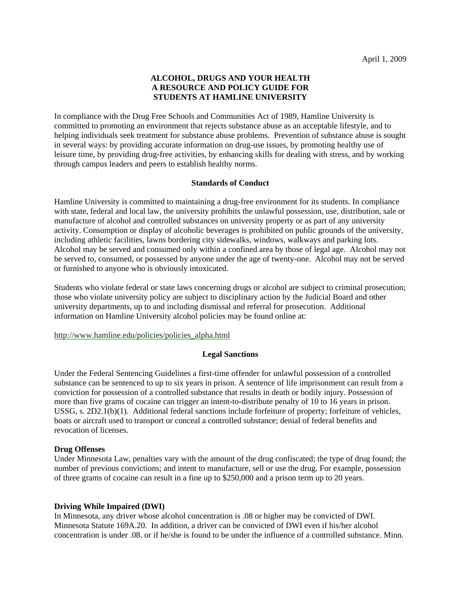# **ALCOHOL, DRUGS AND YOUR HEALTH A RESOURCE AND POLICY GUIDE FOR STUDENTS AT HAMLINE UNIVERSITY**

In compliance with the Drug Free Schools and Communities Act of 1989, Hamline University is committed to promoting an environment that rejects substance abuse as an acceptable lifestyle, and to helping individuals seek treatment for substance abuse problems. Prevention of substance abuse is sought in several ways: by providing accurate information on drug-use issues, by promoting healthy use of leisure time, by providing drug-free activities, by enhancing skills for dealing with stress, and by working through campus leaders and peers to establish healthy norms.

## **Standards of Conduct**

Hamline University is committed to maintaining a drug-free environment for its students. In compliance with state, federal and local law, the university prohibits the unlawful possession, use, distribution, sale or manufacture of alcohol and controlled substances on university property or as part of any university activity. Consumption or display of alcoholic beverages is prohibited on public grounds of the university, including athletic facilities, lawns bordering city sidewalks, windows, walkways and parking lots. Alcohol may be served and consumed only within a confined area by those of legal age. Alcohol may not be served to, consumed, or possessed by anyone under the age of twenty-one. Alcohol may not be served or furnished to anyone who is obviously intoxicated.

Students who violate federal or state laws concerning drugs or alcohol are subject to criminal prosecution; those who violate university policy are subject to disciplinary action by the Judicial Board and other university departments, up to and including dismissal and referral for prosecution. Additional information on Hamline University alcohol policies may be found online at:

## http://www.hamline.edu/policies/policies\_alpha.html

## **Legal Sanctions**

Under the Federal Sentencing Guidelines a first-time offender for unlawful possession of a controlled substance can be sentenced to up to six years in prison. A sentence of life imprisonment can result from a conviction for possession of a controlled substance that results in death or bodily injury. Possession of more than five grams of cocaine can trigger an intent-to-distribute penalty of 10 to 16 years in prison. USSG, s. 2D2.1(b)(1). Additional federal sanctions include forfeiture of property; forfeiture of vehicles, boats or aircraft used to transport or conceal a controlled substance; denial of federal benefits and revocation of licenses.

## **Drug Offenses**

Under Minnesota Law, penalties vary with the amount of the drug confiscated; the type of drug found; the number of previous convictions; and intent to manufacture, sell or use the drug. For example, possession of three grams of cocaine can result in a fine up to \$250,000 and a prison term up to 20 years.

## **Driving While Impaired (DWI)**

In Minnesota, any driver whose alcohol concentration is .08 or higher may be convicted of DWI. Minnesota Statute 169A.20. In addition, a driver can be convicted of DWI even if his/her alcohol concentration is under .08. or if he/she is found to be under the influence of a controlled substance. Minn.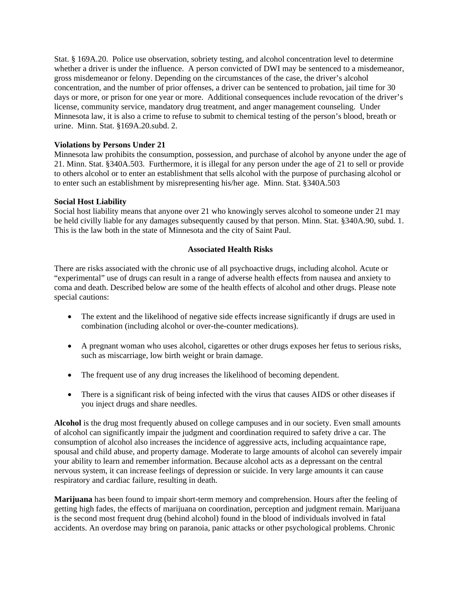Stat. § 169A.20. Police use observation, sobriety testing, and alcohol concentration level to determine whether a driver is under the influence. A person convicted of DWI may be sentenced to a misdemeanor, gross misdemeanor or felony. Depending on the circumstances of the case, the driver's alcohol concentration, and the number of prior offenses, a driver can be sentenced to probation, jail time for 30 days or more, or prison for one year or more. Additional consequences include revocation of the driver's license, community service, mandatory drug treatment, and anger management counseling. Under Minnesota law, it is also a crime to refuse to submit to chemical testing of the person's blood, breath or urine. Minn. Stat. §169A.20.subd. 2.

## **Violations by Persons Under 21**

Minnesota law prohibits the consumption, possession, and purchase of alcohol by anyone under the age of 21. Minn. Stat. §340A.503. Furthermore, it is illegal for any person under the age of 21 to sell or provide to others alcohol or to enter an establishment that sells alcohol with the purpose of purchasing alcohol or to enter such an establishment by misrepresenting his/her age. Minn. Stat. §340A.503

## **Social Host Liability**

Social host liability means that anyone over 21 who knowingly serves alcohol to someone under 21 may be held civilly liable for any damages subsequently caused by that person. Minn. Stat. §340A.90, subd. 1. This is the law both in the state of Minnesota and the city of Saint Paul.

## **Associated Health Risks**

There are risks associated with the chronic use of all psychoactive drugs, including alcohol. Acute or "experimental" use of drugs can result in a range of adverse health effects from nausea and anxiety to coma and death. Described below are some of the health effects of alcohol and other drugs. Please note special cautions:

- The extent and the likelihood of negative side effects increase significantly if drugs are used in combination (including alcohol or over-the-counter medications).
- A pregnant woman who uses alcohol, cigarettes or other drugs exposes her fetus to serious risks, such as miscarriage, low birth weight or brain damage.
- The frequent use of any drug increases the likelihood of becoming dependent.
- There is a significant risk of being infected with the virus that causes AIDS or other diseases if you inject drugs and share needles.

**Alcohol** is the drug most frequently abused on college campuses and in our society. Even small amounts of alcohol can significantly impair the judgment and coordination required to safety drive a car. The consumption of alcohol also increases the incidence of aggressive acts, including acquaintance rape, spousal and child abuse, and property damage. Moderate to large amounts of alcohol can severely impair your ability to learn and remember information. Because alcohol acts as a depressant on the central nervous system, it can increase feelings of depression or suicide. In very large amounts it can cause respiratory and cardiac failure, resulting in death.

**Marijuana** has been found to impair short-term memory and comprehension. Hours after the feeling of getting high fades, the effects of marijuana on coordination, perception and judgment remain. Marijuana is the second most frequent drug (behind alcohol) found in the blood of individuals involved in fatal accidents. An overdose may bring on paranoia, panic attacks or other psychological problems. Chronic